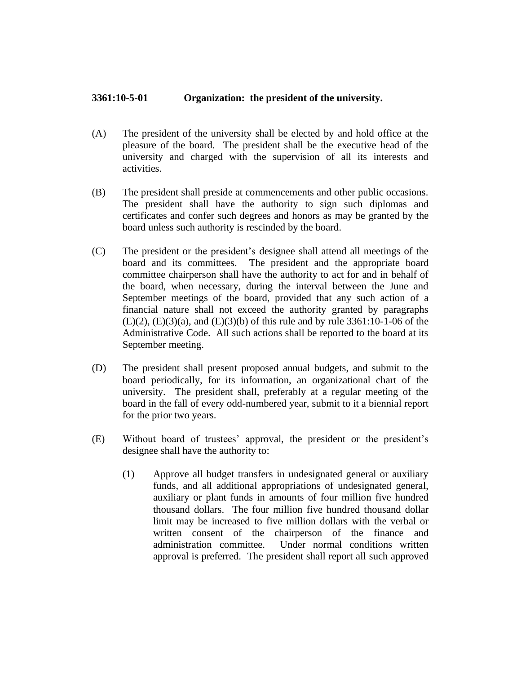## **3361:10-5-01 Organization: the president of the university.**

- (A) The president of the university shall be elected by and hold office at the pleasure of the board. The president shall be the executive head of the university and charged with the supervision of all its interests and activities.
- (B) The president shall preside at commencements and other public occasions. The president shall have the authority to sign such diplomas and certificates and confer such degrees and honors as may be granted by the board unless such authority is rescinded by the board.
- (C) The president or the president's designee shall attend all meetings of the board and its committees. The president and the appropriate board committee chairperson shall have the authority to act for and in behalf of the board, when necessary, during the interval between the June and September meetings of the board, provided that any such action of a financial nature shall not exceed the authority granted by paragraphs  $(E)(2)$ ,  $(E)(3)(a)$ , and  $(E)(3)(b)$  of this rule and by rule 3361:10-1-06 of the Administrative Code. All such actions shall be reported to the board at its September meeting.
- (D) The president shall present proposed annual budgets, and submit to the board periodically, for its information, an organizational chart of the university. The president shall, preferably at a regular meeting of the board in the fall of every odd-numbered year, submit to it a biennial report for the prior two years.
- (E) Without board of trustees' approval, the president or the president's designee shall have the authority to:
	- (1) Approve all budget transfers in undesignated general or auxiliary funds, and all additional appropriations of undesignated general, auxiliary or plant funds in amounts of four million five hundred thousand dollars. The four million five hundred thousand dollar limit may be increased to five million dollars with the verbal or written consent of the chairperson of the finance and administration committee. Under normal conditions written approval is preferred. The president shall report all such approved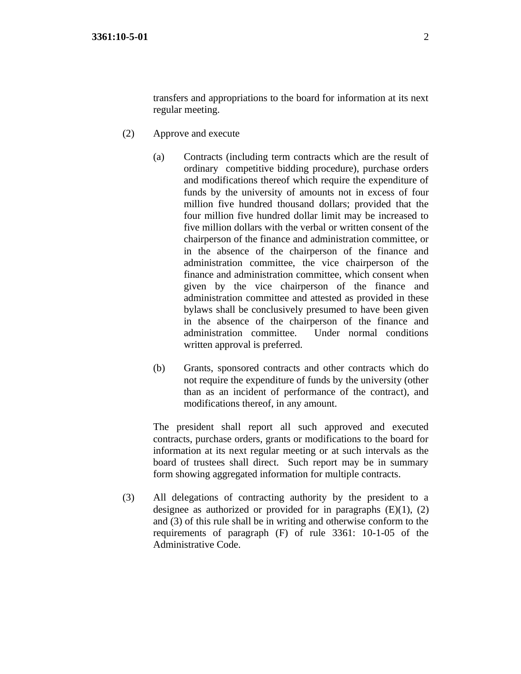transfers and appropriations to the board for information at its next regular meeting.

- (2) Approve and execute
	- (a) Contracts (including term contracts which are the result of ordinary competitive bidding procedure), purchase orders and modifications thereof which require the expenditure of funds by the university of amounts not in excess of four million five hundred thousand dollars; provided that the four million five hundred dollar limit may be increased to five million dollars with the verbal or written consent of the chairperson of the finance and administration committee, or in the absence of the chairperson of the finance and administration committee, the vice chairperson of the finance and administration committee, which consent when given by the vice chairperson of the finance and administration committee and attested as provided in these bylaws shall be conclusively presumed to have been given in the absence of the chairperson of the finance and administration committee. Under normal conditions written approval is preferred.
	- (b) Grants, sponsored contracts and other contracts which do not require the expenditure of funds by the university (other than as an incident of performance of the contract), and modifications thereof, in any amount.

The president shall report all such approved and executed contracts, purchase orders, grants or modifications to the board for information at its next regular meeting or at such intervals as the board of trustees shall direct. Such report may be in summary form showing aggregated information for multiple contracts.

(3) All delegations of contracting authority by the president to a designee as authorized or provided for in paragraphs  $(E)(1)$ ,  $(2)$ and (3) of this rule shall be in writing and otherwise conform to the requirements of paragraph (F) of rule 3361: 10-1-05 of the Administrative Code.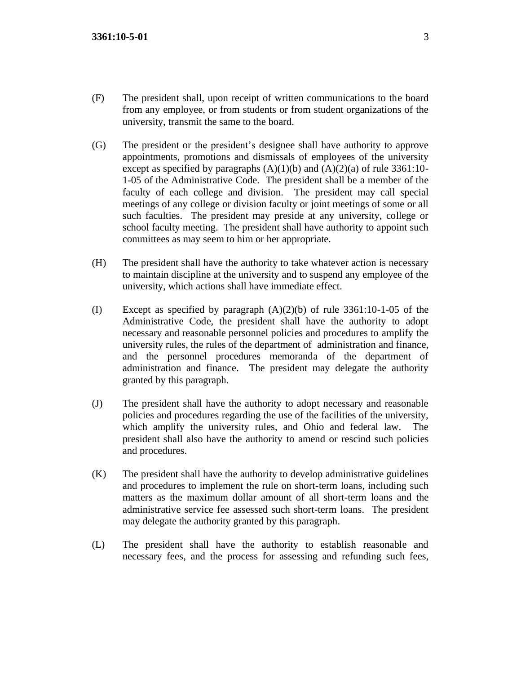- (F) The president shall, upon receipt of written communications to the board from any employee, or from students or from student organizations of the university, transmit the same to the board.
- (G) The president or the president's designee shall have authority to approve appointments, promotions and dismissals of employees of the university except as specified by paragraphs  $(A)(1)(b)$  and  $(A)(2)(a)$  of rule 3361:10-1-05 of the Administrative Code. The president shall be a member of the faculty of each college and division. The president may call special meetings of any college or division faculty or joint meetings of some or all such faculties. The president may preside at any university, college or school faculty meeting. The president shall have authority to appoint such committees as may seem to him or her appropriate.
- (H) The president shall have the authority to take whatever action is necessary to maintain discipline at the university and to suspend any employee of the university, which actions shall have immediate effect.
- (I) Except as specified by paragraph  $(A)(2)(b)$  of rule 3361:10-1-05 of the Administrative Code, the president shall have the authority to adopt necessary and reasonable personnel policies and procedures to amplify the university rules, the rules of the department of administration and finance, and the personnel procedures memoranda of the department of administration and finance. The president may delegate the authority granted by this paragraph.
- (J) The president shall have the authority to adopt necessary and reasonable policies and procedures regarding the use of the facilities of the university, which amplify the university rules, and Ohio and federal law. The president shall also have the authority to amend or rescind such policies and procedures.
- (K) The president shall have the authority to develop administrative guidelines and procedures to implement the rule on short-term loans, including such matters as the maximum dollar amount of all short-term loans and the administrative service fee assessed such short-term loans. The president may delegate the authority granted by this paragraph.
- (L) The president shall have the authority to establish reasonable and necessary fees, and the process for assessing and refunding such fees,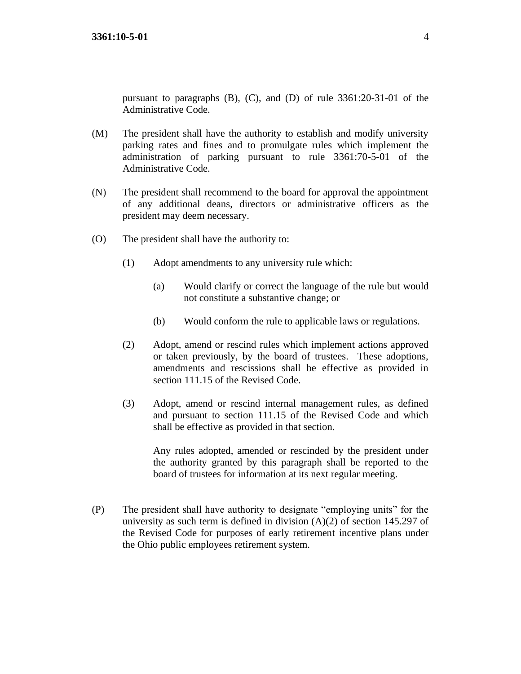pursuant to paragraphs (B), (C), and (D) of rule 3361:20-31-01 of the Administrative Code.

- (M) The president shall have the authority to establish and modify university parking rates and fines and to promulgate rules which implement the administration of parking pursuant to rule 3361:70-5-01 of the Administrative Code.
- (N) The president shall recommend to the board for approval the appointment of any additional deans, directors or administrative officers as the president may deem necessary.
- (O) The president shall have the authority to:
	- (1) Adopt amendments to any university rule which:
		- (a) Would clarify or correct the language of the rule but would not constitute a substantive change; or
		- (b) Would conform the rule to applicable laws or regulations.
	- (2) Adopt, amend or rescind rules which implement actions approved or taken previously, by the board of trustees. These adoptions, amendments and rescissions shall be effective as provided in section 111.15 of the Revised Code.
	- (3) Adopt, amend or rescind internal management rules, as defined and pursuant to section 111.15 of the Revised Code and which shall be effective as provided in that section.

Any rules adopted, amended or rescinded by the president under the authority granted by this paragraph shall be reported to the board of trustees for information at its next regular meeting.

(P) The president shall have authority to designate "employing units" for the university as such term is defined in division (A)(2) of section 145.297 of the Revised Code for purposes of early retirement incentive plans under the Ohio public employees retirement system.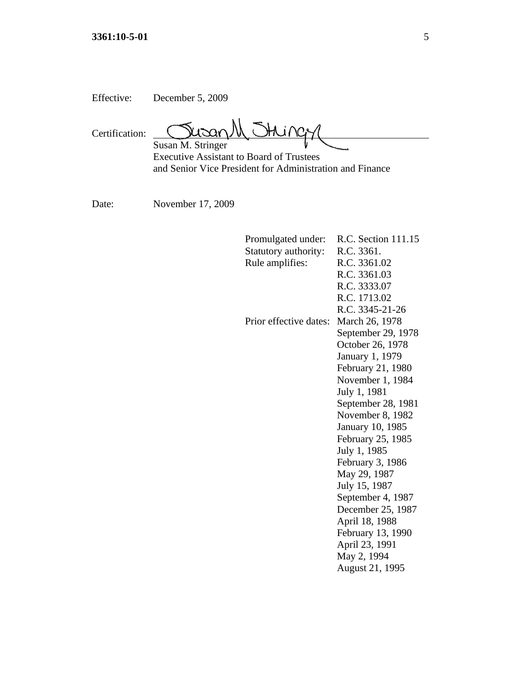| Effective: | December 5, 2009 |
|------------|------------------|
|------------|------------------|

Տա- $A$  ine Certification: Susan M. Stringer

Executive Assistant to Board of Trustees and Senior Vice President for Administration and Finance

Date: November 17, 2009

| Promulgated under:     | R.C. Section 111.15     |
|------------------------|-------------------------|
| Statutory authority:   | R.C. 3361.              |
| Rule amplifies:        | R.C. 3361.02            |
|                        | R.C. 3361.03            |
|                        | R.C. 3333.07            |
|                        | R.C. 1713.02            |
|                        | R.C. 3345-21-26         |
| Prior effective dates: | March 26, 1978          |
|                        | September 29, 1978      |
|                        | October 26, 1978        |
|                        | January 1, 1979         |
|                        | February 21, 1980       |
|                        | November 1, 1984        |
|                        | July 1, 1981            |
|                        | September 28, 1981      |
|                        | November 8, 1982        |
|                        | <b>January 10, 1985</b> |
|                        | February 25, 1985       |
|                        | July 1, 1985            |
|                        | February 3, 1986        |
|                        | May 29, 1987            |
|                        | July 15, 1987           |
|                        | September 4, 1987       |
|                        | December 25, 1987       |
|                        | April 18, 1988          |
|                        | February 13, 1990       |
|                        | April 23, 1991          |
|                        | May 2, 1994             |
|                        | August 21, 1995         |